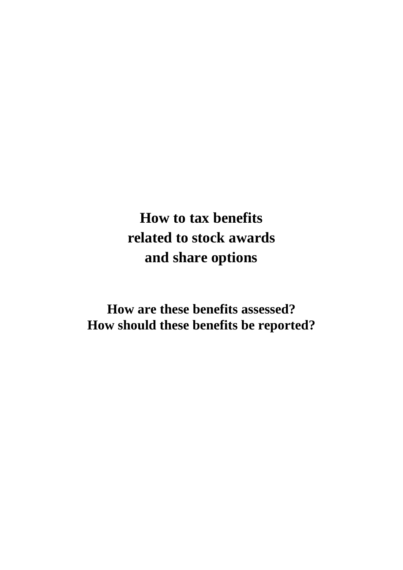# **How to tax benefits related to stock awards and share options**

**How are these benefits assessed? How should these benefits be reported?**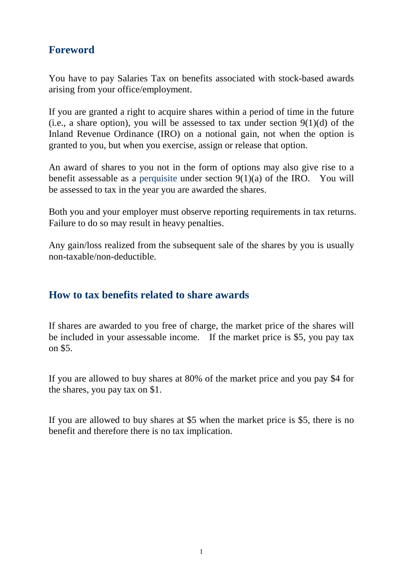# **Foreword**

You have to pay Salaries Tax on benefits associated with stock-based awards arising from your office/employment.

If you are granted a right to acquire shares within a period of time in the future (i.e., a share option), you will be assessed to tax under section  $9(1)(d)$  of the Inland Revenue Ordinance (IRO) on a notional gain, not when the option is granted to you, but when you exercise, assign or release that option.

An award of shares to you not in the form of options may also give rise to a benefit assessable as a perquisite under section 9(1)(a) of the IRO. You will be assessed to tax in the year you are awarded the shares.

Both you and your employer must observe reporting requirements in tax returns. Failure to do so may result in heavy penalties.

Any gain/loss realized from the subsequent sale of the shares by you is usually non-taxable/non-deductible.

## **How to tax benefits related to share awards**

If shares are awarded to you free of charge, the market price of the shares will be included in your assessable income. If the market price is \$5, you pay tax on \$5.

If you are allowed to buy shares at 80% of the market price and you pay \$4 for the shares, you pay tax on \$1.

If you are allowed to buy shares at \$5 when the market price is \$5, there is no benefit and therefore there is no tax implication.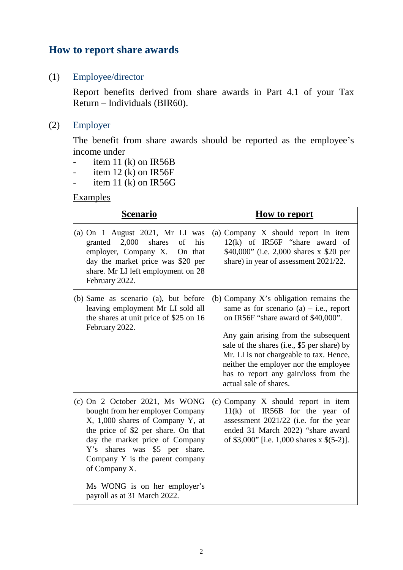## **How to report share awards**

#### (1) Employee/director

Report benefits derived from share awards in Part 4.1 of your Tax Return – Individuals (BIR60).

#### (2) Employer

The benefit from share awards should be reported as the employee's income under

- item 11 (k) on  $IR56B$
- item 12  $(k)$  on IR56F
- item 11  $(k)$  on IR56G

#### **Examples**

| <b>Scenario</b>                                                                                                                                                                                                                                                       | <b>How to report</b>                                                                                                                                                                                                                                                                                                                                                       |
|-----------------------------------------------------------------------------------------------------------------------------------------------------------------------------------------------------------------------------------------------------------------------|----------------------------------------------------------------------------------------------------------------------------------------------------------------------------------------------------------------------------------------------------------------------------------------------------------------------------------------------------------------------------|
| (a) On $1$ August 2021, Mr LI was<br>granted $2,000$<br>shares<br>of<br>his<br>employer, Company X.<br>On that<br>day the market price was \$20 per<br>share. Mr LI left employment on 28<br>February 2022.                                                           | (a) Company X should report in item<br>$12(k)$ of IR56F "share award of<br>\$40,000" (i.e. 2,000 shares x \$20 per<br>share) in year of assessment 2021/22.                                                                                                                                                                                                                |
| (b) Same as scenario (a), but before<br>leaving employment Mr LI sold all<br>the shares at unit price of \$25 on 16<br>February 2022.                                                                                                                                 | (b) Company $X$ 's obligation remains the<br>same as for scenario $(a) - i.e.,$ report<br>on IR56F "share award of \$40,000".<br>Any gain arising from the subsequent<br>sale of the shares (i.e., \$5 per share) by<br>Mr. LI is not chargeable to tax. Hence,<br>neither the employer nor the employee<br>has to report any gain/loss from the<br>actual sale of shares. |
| (c) On 2 October 2021, Ms WONG<br>bought from her employer Company<br>X, 1,000 shares of Company Y, at<br>the price of \$2 per share. On that<br>day the market price of Company<br>Y's shares was \$5 per share.<br>Company Y is the parent company<br>of Company X. | (c) Company X should report in item<br>$11(k)$ of IR56B for the year of<br>assessment 2021/22 (i.e. for the year<br>ended 31 March 2022) "share award<br>of \$3,000" [i.e. 1,000 shares x $$(5-2)$ ].                                                                                                                                                                      |
| Ms WONG is on her employer's<br>payroll as at 31 March 2022.                                                                                                                                                                                                          |                                                                                                                                                                                                                                                                                                                                                                            |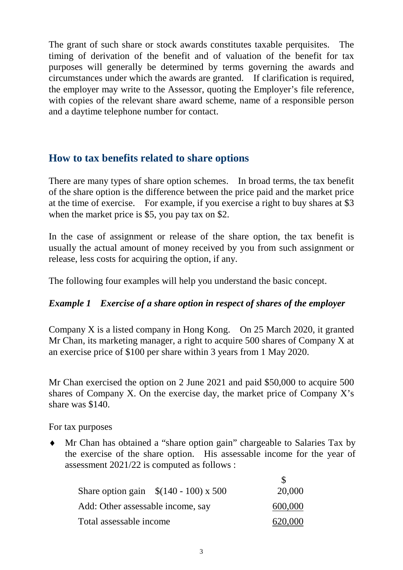The grant of such share or stock awards constitutes taxable perquisites. The timing of derivation of the benefit and of valuation of the benefit for tax purposes will generally be determined by terms governing the awards and circumstances under which the awards are granted. If clarification is required, the employer may write to the Assessor, quoting the Employer's file reference, with copies of the relevant share award scheme, name of a responsible person and a daytime telephone number for contact.

## **How to tax benefits related to share options**

There are many types of share option schemes. In broad terms, the tax benefit of the share option is the difference between the price paid and the market price at the time of exercise. For example, if you exercise a right to buy shares at \$3 when the market price is \$5, you pay tax on \$2.

In the case of assignment or release of the share option, the tax benefit is usually the actual amount of money received by you from such assignment or release, less costs for acquiring the option, if any.

The following four examples will help you understand the basic concept.

## *Example 1 Exercise of a share option in respect of shares of the employer*

Company X is a listed company in Hong Kong. On 25 March 2020, it granted Mr Chan, its marketing manager, a right to acquire 500 shares of Company X at an exercise price of \$100 per share within 3 years from 1 May 2020.

Mr Chan exercised the option on 2 June 2021 and paid \$50,000 to acquire 500 shares of Company X. On the exercise day, the market price of Company X's share was \$140.

For tax purposes

♦ Mr Chan has obtained a "share option gain" chargeable to Salaries Tax by the exercise of the share option. His assessable income for the year of assessment 2021/22 is computed as follows :

|                                   | Share option gain $\{(140 - 100) \times 500\}$ | 20,000  |
|-----------------------------------|------------------------------------------------|---------|
| Add: Other assessable income, say |                                                | 600,000 |
| Total assessable income           |                                                | 620,000 |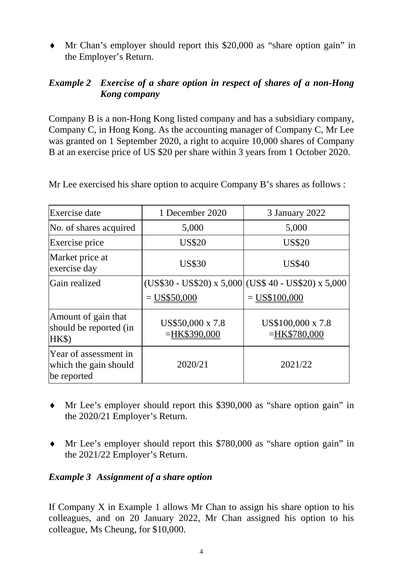♦ Mr Chan's employer should report this \$20,000 as "share option gain" in the Employer's Return.

#### *Example 2 Exercise of a share option in respect of shares of a non-Hong Kong company*

Company B is a non-Hong Kong listed company and has a subsidiary company, Company C, in Hong Kong. As the accounting manager of Company C, Mr Lee was granted on 1 September 2020, a right to acquire 10,000 shares of Company B at an exercise price of US \$20 per share within 3 years from 1 October 2020.

| Exercise date                                                 | 1 December 2020                     | 3 January 2022                                                         |
|---------------------------------------------------------------|-------------------------------------|------------------------------------------------------------------------|
| No. of shares acquired                                        | 5,000                               | 5,000                                                                  |
| Exercise price                                                | <b>US\$20</b>                       | <b>US\$20</b>                                                          |
| Market price at<br>exercise day                               | <b>US\$30</b>                       | <b>US\$40</b>                                                          |
| Gain realized                                                 | $=$ US\$50,000                      | $(US$30 - US$20) x 5,000$ $(US$40 - US$20) x 5,000$<br>$=$ US\$100,000 |
| Amount of gain that<br>should be reported (in<br>HK\$)        | US\$50,000 x 7.8<br>$=$ HK\$390,000 | US\$100,000 x 7.8<br>$=$ HK\$780,000                                   |
| Year of assessment in<br>which the gain should<br>be reported | 2020/21                             | 2021/22                                                                |

Mr Lee exercised his share option to acquire Company B's shares as follows :

- ♦ Mr Lee's employer should report this \$390,000 as "share option gain" in the 2020/21 Employer's Return.
- ♦ Mr Lee's employer should report this \$780,000 as "share option gain" in the 2021/22 Employer's Return.

#### *Example 3 Assignment of a share option*

If Company X in Example 1 allows Mr Chan to assign his share option to his colleagues, and on 20 January 2022, Mr Chan assigned his option to his colleague, Ms Cheung, for \$10,000.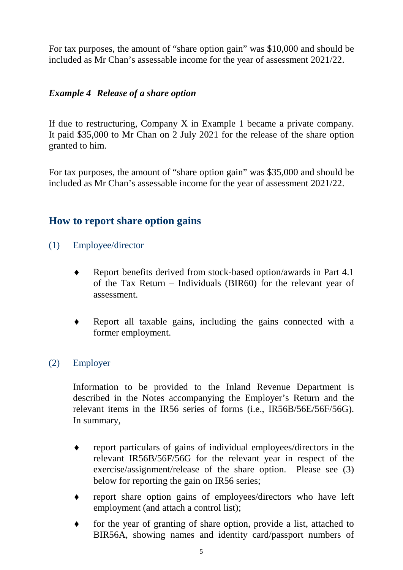For tax purposes, the amount of "share option gain" was \$10,000 and should be included as Mr Chan's assessable income for the year of assessment 2021/22.

#### *Example 4 Release of a share option*

If due to restructuring, Company X in Example 1 became a private company. It paid \$35,000 to Mr Chan on 2 July 2021 for the release of the share option granted to him.

For tax purposes, the amount of "share option gain" was \$35,000 and should be included as Mr Chan's assessable income for the year of assessment 2021/22.

## **How to report share option gains**

- (1) Employee/director
	- ♦ Report benefits derived from stock-based option/awards in Part 4.1 of the Tax Return – Individuals (BIR60) for the relevant year of assessment.
	- Report all taxable gains, including the gains connected with a former employment.

#### (2) Employer

Information to be provided to the Inland Revenue Department is described in the Notes accompanying the Employer's Return and the relevant items in the IR56 series of forms (i.e., IR56B/56E/56F/56G). In summary,

- ♦ report particulars of gains of individual employees/directors in the relevant IR56B/56F/56G for the relevant year in respect of the exercise/assignment/release of the share option. Please see (3) below for reporting the gain on IR56 series;
- ♦ report share option gains of employees/directors who have left employment (and attach a control list);
- ♦ for the year of granting of share option, provide a list, attached to BIR56A, showing names and identity card/passport numbers of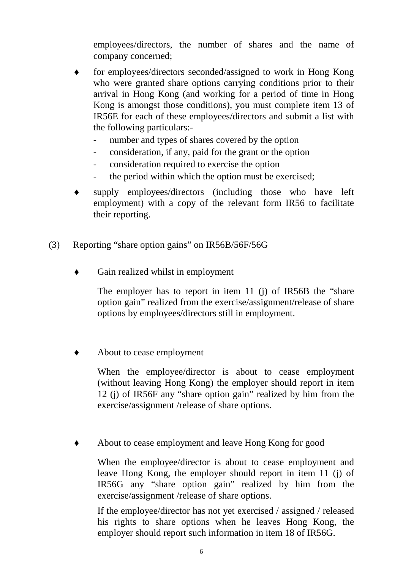employees/directors, the number of shares and the name of company concerned;

- ♦ for employees/directors seconded/assigned to work in Hong Kong who were granted share options carrying conditions prior to their arrival in Hong Kong (and working for a period of time in Hong Kong is amongst those conditions), you must complete item 13 of IR56E for each of these employees/directors and submit a list with the following particulars:-
	- number and types of shares covered by the option
	- consideration, if any, paid for the grant or the option
	- consideration required to exercise the option
	- the period within which the option must be exercised;
- supply employees/directors (including those who have left employment) with a copy of the relevant form IR56 to facilitate their reporting.
- (3) Reporting "share option gains" on IR56B/56F/56G
	- ♦ Gain realized whilst in employment

The employer has to report in item 11 (j) of IR56B the "share" option gain" realized from the exercise/assignment/release of share options by employees/directors still in employment.

About to cease employment

When the employee/director is about to cease employment (without leaving Hong Kong) the employer should report in item 12 (j) of IR56F any "share option gain" realized by him from the exercise/assignment /release of share options.

About to cease employment and leave Hong Kong for good

When the employee/director is about to cease employment and leave Hong Kong, the employer should report in item 11 (j) of IR56G any "share option gain" realized by him from the exercise/assignment /release of share options.

If the employee/director has not yet exercised / assigned / released his rights to share options when he leaves Hong Kong, the employer should report such information in item 18 of IR56G.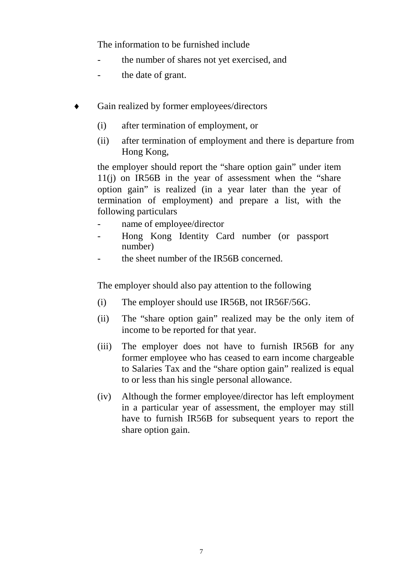The information to be furnished include

- the number of shares not yet exercised, and
- the date of grant.
- Gain realized by former employees/directors
	- (i) after termination of employment, or
	- (ii) after termination of employment and there is departure from Hong Kong,

the employer should report the "share option gain" under item  $11(i)$  on IR56B in the year of assessment when the "share" option gain" is realized (in a year later than the year of termination of employment) and prepare a list, with the following particulars

- name of employee/director
- Hong Kong Identity Card number (or passport number)
- the sheet number of the IR56B concerned.

The employer should also pay attention to the following

- (i) The employer should use IR56B, not IR56F/56G.
- (ii) The "share option gain" realized may be the only item of income to be reported for that year.
- (iii) The employer does not have to furnish IR56B for any former employee who has ceased to earn income chargeable to Salaries Tax and the "share option gain" realized is equal to or less than his single personal allowance.
- (iv) Although the former employee/director has left employment in a particular year of assessment, the employer may still have to furnish IR56B for subsequent years to report the share option gain.